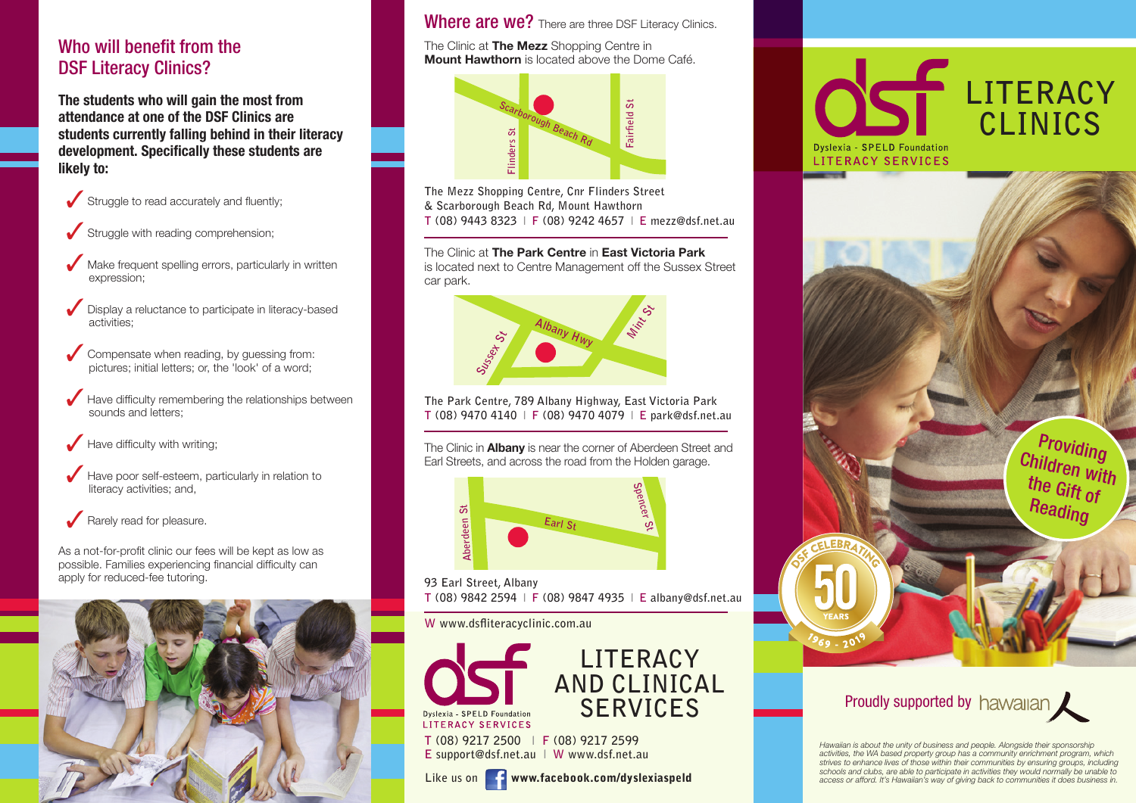#### Who will benefit from the DSF Literacy Clinics?

**The students who will gain the most from attendance at one of the DSF Clinics are students currently falling behind in their literacy development. Specifically these students are likely to:**



- Struggle with reading comprehension:
- Make frequent spelling errors, particularly in written expression;
- Display a reluctance to participate in literacy-based activities;
- Compensate when reading, by guessing from: pictures; initial letters; or, the 'look' of a word;
- Have difficulty remembering the relationships between sounds and letters:
- Have difficulty with writing;
- Have poor self-esteem, particularly in relation to literacy activities; and,

#### Rarely read for pleasure.

As a not-for-profit clinic our fees will be kept as low as possible. Families experiencing financial difficulty can apply for reduced-fee tutoring.



#### Where are we? There are three DSF Literacy Clinics.

The Clinic at The Mezz Shopping Centre in **Mount Hawthorn** is located above the Dome Café.



**The Mezz Shopping Centre, Cnr Flinders Street & Scarborough Beach Rd, Mount Hawthorn T (08) 9443 8323 l F (08) 9242 4657 l E mezz@dsf.net.au**

The Clinic at The Park Centre in East Victoria Park is located next to Centre Management off the Sussex Street car park.



**The Park Centre, 789 Albany Highway, East Victoria Park T (08) 9470 4140 l F (08) 9470 4079 l E park@dsf.net.au**

The Clinic in **Albany** is near the corner of Aberdeen Street and Earl Streets, and across the road from the Holden garage.



**93 Earl Street, Albany**

**W www.dsfliteracyclinic.com.au**



**T (08) 9217 2500 l F (08) 9217 2599 E support@dsf.net.au l W www.dsf.net.au**







# Proudly supported by hawaian

*Hawaiian is about the unity of business and people. Alongside their sponsorship activities, the WA based property group has a community enrichment program, which strives to enhance lives of those within their communities by ensuring groups, including schools and clubs, are able to participate in activities they would normally be unable to access or afford. It's Hawaiian's way of giving back to communities it does business in.*